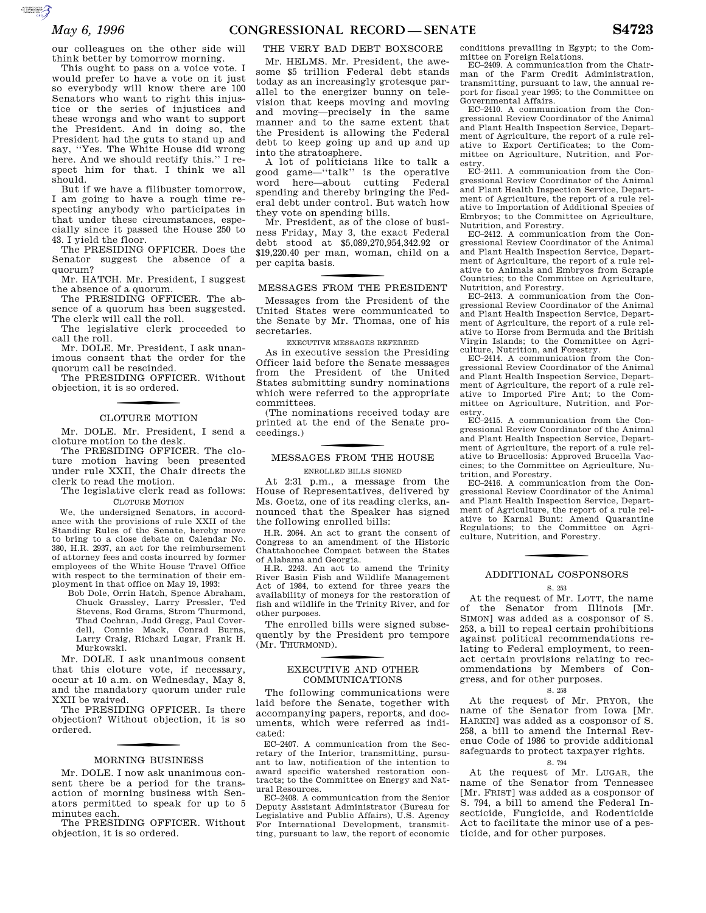our colleagues on the other side will think better by tomorrow morning.

This ought to pass on a voice vote. I would prefer to have a vote on it just so everybody will know there are 100 Senators who want to right this injustice or the series of injustices and these wrongs and who want to support the President. And in doing so, the President had the guts to stand up and say, ''Yes. The White House did wrong here. And we should rectify this.'' I respect him for that. I think we all should.

But if we have a filibuster tomorrow, I am going to have a rough time respecting anybody who participates in that under these circumstances, especially since it passed the House 250 to 43. I yield the floor.

The PRESIDING OFFICER. Does the Senator suggest the absence of a quorum?

Mr. HATCH. Mr. President, I suggest the absence of a quorum.

The PRESIDING OFFICER. The absence of a quorum has been suggested. The clerk will call the roll.

The legislative clerk proceeded to call the roll.

Mr. DOLE. Mr. President, I ask unanimous consent that the order for the quorum call be rescinded.

The PRESIDING OFFICER. Without objection, it is so ordered.

# CLOTURE MOTION

Mr. DOLE. Mr. President, I send a cloture motion to the desk.

The PRESIDING OFFICER. The cloture motion having been presented under rule XXII, the Chair directs the clerk to read the motion.

The legislative clerk read as follows: CLOTURE MOTION

We, the undersigned Senators, in accordance with the provisions of rule XXII of the Standing Rules of the Senate, hereby move to bring to a close debate on Calendar No. 380, H.R. 2937, an act for the reimbursement of attorney fees and costs incurred by former employees of the White House Travel Office with respect to the termination of their employment in that office on May 19, 1993:

Bob Dole, Orrin Hatch, Spence Abraham, Chuck Grassley, Larry Pressler, Ted Stevens, Rod Grams, Strom Thurmond, Thad Cochran, Judd Gregg, Paul Coverdell, Connie Mack, Conrad Burns, Larry Craig, Richard Lugar, Frank H. Murkowski.

Mr. DOLE. I ask unanimous consent that this cloture vote, if necessary, occur at 10 a.m. on Wednesday, May 8, and the mandatory quorum under rule XXII be waived.

The PRESIDING OFFICER. Is there objection? Without objection, it is so ordered.

## MORNING BUSINESS

Mr. DOLE. I now ask unanimous consent there be a period for the transaction of morning business with Senators permitted to speak for up to 5 minutes each.

The PRESIDING OFFICER. Without objection, it is so ordered.

# THE VERY BAD DEBT BOXSCORE

Mr. HELMS. Mr. President, the awesome \$5 trillion Federal debt stands today as an increasingly grotesque parallel to the energizer bunny on television that keeps moving and moving and moving—precisely in the same manner and to the same extent that the President is allowing the Federal debt to keep going up and up and up into the stratosphere.

A lot of politicians like to talk a good game<sup>-"</sup>talk" is the operative<br>word here-about cutting Federal here—about cutting spending and thereby bringing the Federal debt under control. But watch how they vote on spending bills.

Mr. President, as of the close of business Friday, May 3, the exact Federal debt stood at \$5,089,270,954,342.92 or \$19,220.40 per man, woman, child on a per capita basis.

# f MESSAGES FROM THE PRESIDENT

Messages from the President of the United States were communicated to the Senate by Mr. Thomas, one of his secretaries.

EXECUTIVE MESSAGES REFERRED

As in executive session the Presiding Officer laid before the Senate messages from the President of the United States submitting sundry nominations which were referred to the appropriate committees.

(The nominations received today are printed at the end of the Senate proceedings.)

# f MESSAGES FROM THE HOUSE

ENROLLED BILLS SIGNED

At 2:31 p.m., a message from the House of Representatives, delivered by Ms. Goetz, one of its reading clerks, announced that the Speaker has signed the following enrolled bills:

H.R. 2064. An act to grant the consent of Congress to an amendment of the Historic Chattahoochee Compact between the States of Alabama and Georgia.

H.R. 2243. An act to amend the Trinity River Basin Fish and Wildlife Management Act of 1984, to extend for three years the availability of moneys for the restoration of fish and wildlife in the Trinity River, and for other purposes.

The enrolled bills were signed subsequently by the President pro tempore (Mr. THURMOND ).

# f EXECUTIVE AND OTHER COMMUNICATIONS

The following communications were laid before the Senate, together with accompanying papers, reports, and documents, which were referred as indicated:

EC–2407. A communication from the Secretary of the Interior, transmitting, pursuant to law, notification of the intention to award specific watershed restoration contracts; to the Committee on Energy and Natural Resources.

EC–2408. A communication from the Senior Deputy Assistant Administrator (Bureau for Legislative and Public Affairs), U.S. Agency For International Development, transmitting, pursuant to law, the report of economic

conditions prevailing in Egypt; to the Committee on Foreign Relations.

EC–2409. A communication from the Chairman of the Farm Credit Administration, transmitting, pursuant to law, the annual report for fiscal year 1995; to the Committee on Governmental Affairs.

EC–2410. A communication from the Congressional Review Coordinator of the Animal and Plant Health Inspection Service, Department of Agriculture, the report of a rule relative to Export Certificates; to the Committee on Agriculture, Nutrition, and Forestry.

EC–2411. A communication from the Congressional Review Coordinator of the Animal and Plant Health Inspection Service, Department of Agriculture, the report of a rule relative to Importation of Additional Species of Embryos; to the Committee on Agriculture, Nutrition, and Forestry.

EC–2412. A communication from the Congressional Review Coordinator of the Animal and Plant Health Inspection Service, Department of Agriculture, the report of a rule relative to Animals and Embryos from Scrapie Countries; to the Committee on Agriculture, Nutrition, and Forestry.

EC–2413. A communication from the Congressional Review Coordinator of the Animal and Plant Health Inspection Service, Department of Agriculture, the report of a rule relative to Horse from Bermuda and the British Virgin Islands; to the Committee on Agriculture, Nutrition, and Forestry.

EC–2414. A communication from the Congressional Review Coordinator of the Animal and Plant Health Inspection Service, Department of Agriculture, the report of a rule rel-ative to Imported Fire Ant; to the Committee on Agriculture, Nutrition, and Forestry.

EC–2415. A communication from the Congressional Review Coordinator of the Animal and Plant Health Inspection Service, Department of Agriculture, the report of a rule relative to Brucellosis: Approved Brucella Vaccines; to the Committee on Agriculture, Nutrition, and Forestry.

EC–2416. A communication from the Congressional Review Coordinator of the Animal and Plant Health Inspection Service, Department of Agriculture, the report of a rule relative to Karnal Bunt: Amend Quarantine Regulations; to the Committee on Agriculture, Nutrition, and Forestry.

# ADDITIONAL COSPONSORS

#### S. 253

At the request of Mr. LOTT, the name of the Senator from Illinois [Mr. SIMON] was added as a cosponsor of S. 253, a bill to repeal certain prohibitions against political recommendations relating to Federal employment, to reenact certain provisions relating to recommendations by Members of Congress, and for other purposes.

# S. 258

At the request of Mr. PRYOR, the name of the Senator from Iowa [Mr. HARKIN] was added as a cosponsor of S. 258, a bill to amend the Internal Revenue Code of 1986 to provide additional safeguards to protect taxpayer rights.

#### S. 794

At the request of Mr. LUGAR, the name of the Senator from Tennessee [Mr. FRIST] was added as a cosponsor of S. 794, a bill to amend the Federal Insecticide, Fungicide, and Rodenticide Act to facilitate the minor use of a pesticide, and for other purposes.